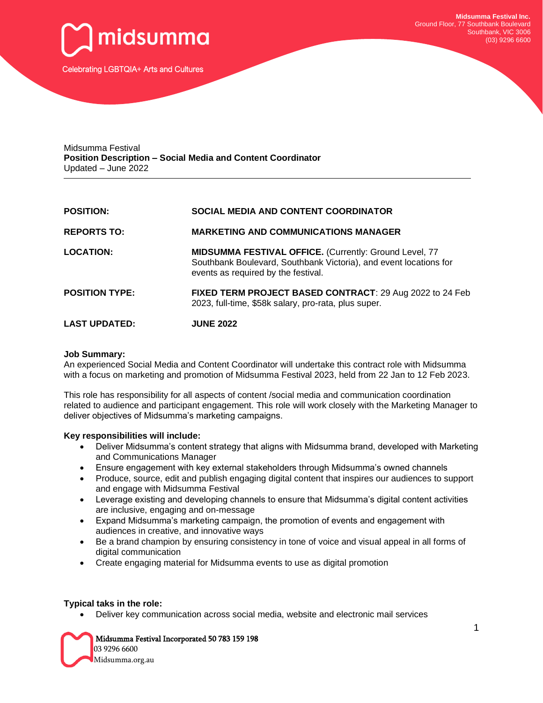

Midsumma Festival **Position Description – Social Media and Content Coordinator** Updated – June 2022

| <b>POSITION:</b>      | <b>SOCIAL MEDIA AND CONTENT COORDINATOR</b>                                                                                                                               |
|-----------------------|---------------------------------------------------------------------------------------------------------------------------------------------------------------------------|
| <b>REPORTS TO:</b>    | <b>MARKETING AND COMMUNICATIONS MANAGER</b>                                                                                                                               |
| <b>LOCATION:</b>      | <b>MIDSUMMA FESTIVAL OFFICE.</b> (Currently: Ground Level, 77<br>Southbank Boulevard, Southbank Victoria), and event locations for<br>events as required by the festival. |
| <b>POSITION TYPE:</b> | FIXED TERM PROJECT BASED CONTRACT: 29 Aug 2022 to 24 Feb<br>2023, full-time, \$58k salary, pro-rata, plus super.                                                          |
| <b>LAST UPDATED:</b>  | <b>JUNE 2022</b>                                                                                                                                                          |

## **Job Summary:**

An experienced Social Media and Content Coordinator will undertake this contract role with Midsumma with a focus on marketing and promotion of Midsumma Festival 2023, held from 22 Jan to 12 Feb 2023.

This role has responsibility for all aspects of content /social media and communication coordination related to audience and participant engagement. This role will work closely with the Marketing Manager to deliver objectives of Midsumma's marketing campaigns.

## **Key responsibilities will include:**

- Deliver Midsumma's content strategy that aligns with Midsumma brand, developed with Marketing and Communications Manager
- Ensure engagement with key external stakeholders through Midsumma's owned channels
- Produce, source, edit and publish engaging digital content that inspires our audiences to support and engage with Midsumma Festival
- Leverage existing and developing channels to ensure that Midsumma's digital content activities are inclusive, engaging and on-message
- Expand Midsumma's marketing campaign, the promotion of events and engagement with audiences in creative, and innovative ways
- Be a brand champion by ensuring consistency in tone of voice and visual appeal in all forms of digital communication
- Create engaging material for Midsumma events to use as digital promotion

#### **Typical taks in the role:**

• Deliver key communication across social media, website and electronic mail services

Midsumma Festival Incorporated 50 783 159 198

 03 9296 6600 Midsumma.org.au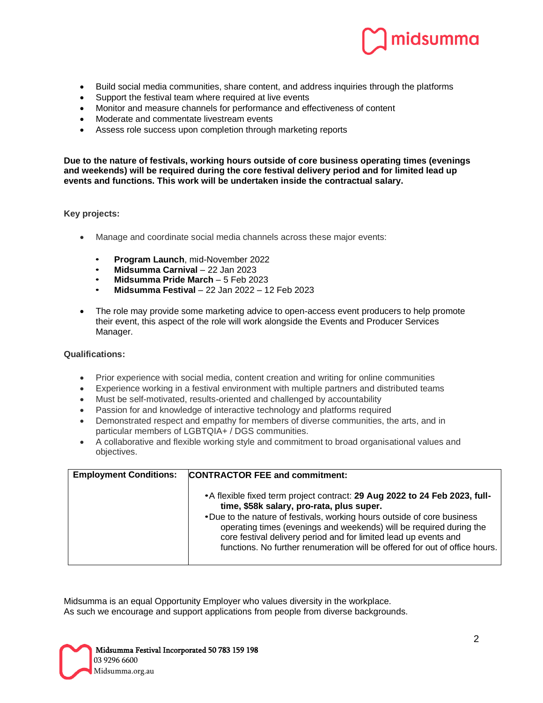

- Build social media communities, share content, and address inquiries through the platforms
- Support the festival team where required at live events
- Monitor and measure channels for performance and effectiveness of content
- Moderate and commentate livestream events
- Assess role success upon completion through marketing reports

**Due to the nature of festivals, working hours outside of core business operating times (evenings and weekends) will be required during the core festival delivery period and for limited lead up events and functions. This work will be undertaken inside the contractual salary.**

# **Key projects:**

- Manage and coordinate social media channels across these major events:
	- **Program Launch**, mid-November 2022
	- **Midsumma Carnival**  22 Jan 2023
	- **Midsumma Pride March**  5 Feb 2023
	- **Midsumma Festival**  22 Jan 2022 12 Feb 2023
- The role may provide some marketing advice to open-access event producers to help promote their event, this aspect of the role will work alongside the Events and Producer Services Manager.

## **Qualifications:**

- Prior experience with social media, content creation and writing for online communities
- Experience working in a festival environment with multiple partners and distributed teams
- Must be self-motivated, results-oriented and challenged by accountability
- Passion for and knowledge of interactive technology and platforms required
- Demonstrated respect and empathy for members of diverse communities, the arts, and in particular members of LGBTQIA+ / DGS communities.
- A collaborative and flexible working style and commitment to broad organisational values and objectives.

| <b>Employment Conditions:</b> | <b>CONTRACTOR FEE and commitment:</b>                                                                                                                                                                                                                                                                                                                                                                                         |
|-------------------------------|-------------------------------------------------------------------------------------------------------------------------------------------------------------------------------------------------------------------------------------------------------------------------------------------------------------------------------------------------------------------------------------------------------------------------------|
|                               | • A flexible fixed term project contract: 29 Aug 2022 to 24 Feb 2023, full-<br>time, \$58k salary, pro-rata, plus super.<br>•Due to the nature of festivals, working hours outside of core business<br>operating times (evenings and weekends) will be required during the<br>core festival delivery period and for limited lead up events and<br>functions. No further renumeration will be offered for out of office hours. |

Midsumma is an equal Opportunity Employer who values diversity in the workplace. As such we encourage and support applications from people from diverse backgrounds.